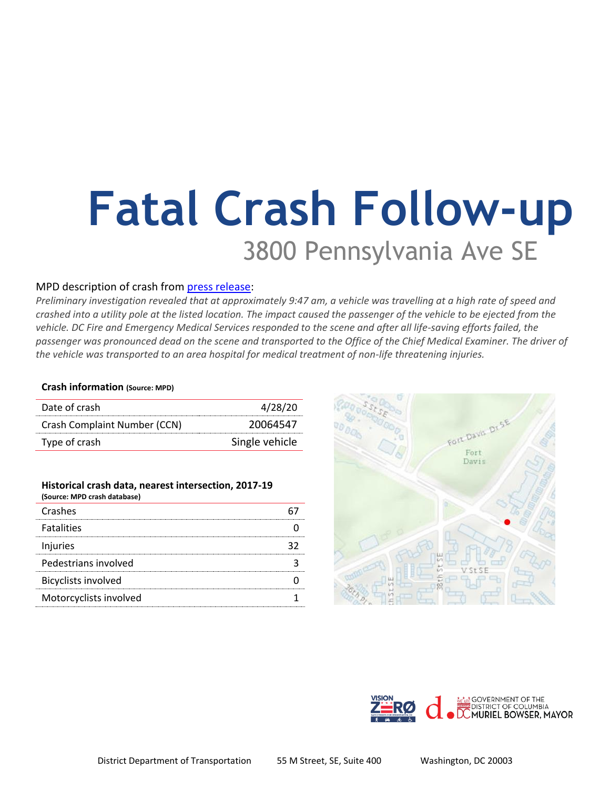# **Fatal Crash Follow-up** 3800 Pennsylvania Ave SE

## MPD description of crash from [press release:](https://mpdc.dc.gov/release/traffic-fatality-3800-block-pennsylvania-avenue-southeast)

*Preliminary investigation revealed that at approximately 9:47 am, a vehicle was travelling at a high rate of speed and crashed into a utility pole at the listed location. The impact caused the passenger of the vehicle to be ejected from the*  vehicle. DC Fire and Emergency Medical Services responded to the scene and after all life-saving efforts failed, the *passenger was pronounced dead on the scene and transported to the Office of the Chief Medical Examiner. The driver of the vehicle was transported to an area hospital for medical treatment of non-life threatening injuries.* 

### **Crash information (Source: MPD)**

| Date of crash                | 4/28/20        |
|------------------------------|----------------|
| Crash Complaint Number (CCN) | 20064547       |
| Type of crash                | Single vehicle |

#### **Historical crash data, nearest intersection, 2017-19 (Source: MPD crash database)**